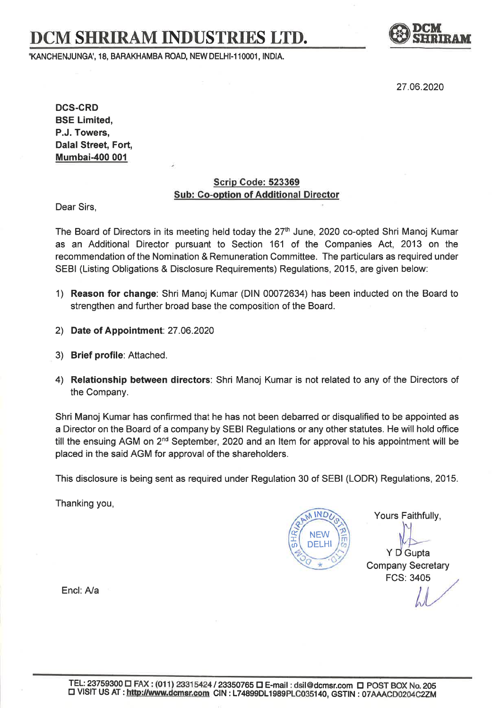# DCM SHRIRAM INDUSTRIES LTD.

,KANCHENJUNGA" 18, BARAKHAMBA ROAD, NEW DELHI.11OOO1, INDIA.



27.06.2020

DCS.CRD BSE Limited, P.J. Towers, Dalal Street, Fort, Mumbai-400 001

#### Scrip Gode: <sup>523369</sup> Sub: Co-option of Additional Director

Dear Sirs,

The Board of Directors in its meeting held today the 27<sup>th</sup> June, 2020 co-opted Shri Manoj Kumar as an Additional Director pursuant to Section 161 of the Companies Act, 2013 on the recommendation of the Nomination & Remuneration Committee. The particulars as required under SEBI (Listing Obligations & Disclosure Requirements) Regulations, 2015, are given below:

- 1) Reason for change: Shri Manoj Kumar (DlN 00072634) has been inducted on the Board to strengthen and further broad base the composition of the Board.
- 2) Date of Appointment: 27.Q6.2020
- 3) Brief profile: Attached.
- 4) Relationship between directors: Shri Manoj Kumar is not related to any of the Directors of the Company.

Shri Manoj Kumar has confirmed that he has not been debarred or disqualified to be appointed as a Director on the Board of a company by SEBI Regulations or any other statutes. He will hold office till the ensuing AGM on  $2<sup>nd</sup>$  September, 2020 and an Item for approval to his appointment will be placed in the said AGM for approval of the shareholders.

This disclosure is being sent as required under Regulation 30 of SEBI (LODR) Regulations, 2015.

Thanking you,

**Q** (t) **IND** NEW DELHI I m \*(/)

Yours Faithfully,

Y D Gupta Company Secretary FCS: 3405

Encl: A/a